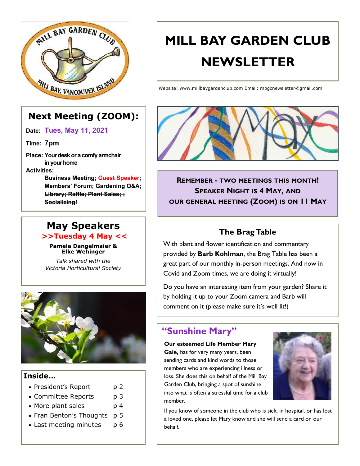

# **Next Meeting (ZOOM):**

**Date: Tues, May 11, 2021**

**Time: 7pm**

**Place: Your desk or a comfy armchair in your home**

**Activities:**

**Business Meeting; Guest Speaker; Members' Forum; Gardening Q&A; Library; Raffle; Plant Sales; ; Socializing!**

### **May Speakers >>Tuesday 4 May <<**

**Pamela Dangelmaier & Elke Wehinger**

*Talk shared with the Victoria Horticultural Society*



### **Inside…**

- President's Report p 2
- Committee Reports p 3
- More plant sales b 4
- Fran Benton's Thoughts p 5
- Last meeting minutes p 6

# **MILL BAY GARDEN CLUB NEWSLETTER**

Website: www.millbaygardenclub.com Email: mbgcnewsletter@gmail.com



**REMEMBER - TWO MEETINGS THIS MONTH! SPEAKER NIGHT IS 4 MAY, AND OUR GENERAL MEETING (ZOOM) IS ON 11 MAY**

# **The Brag Table**

With plant and flower identification and commentary provided by **Barb Kohlman**, the Brag Table has been a great part of our monthly in-person meetings. And now in Covid and Zoom times, we are doing it virtually!

Do you have an interesting item from your garden? Share it by holding it up to your Zoom camera and Barb will comment on it (please make sure it's well lit!)

# **"Sunshine Mary"**

#### **Our esteemed Life Member Mary**

**Gale,** has for very many years, been sending cards and kind words to those members who are experiencing illness or loss. She does this on behalf of the Mill Bay Garden Club, bringing a spot of sunshine into what is often a stressful time for a club member.



If you know of someone in the club who is sick, in hospital, or has lost a loved one, please let Mary know and she will send a card on our behalf.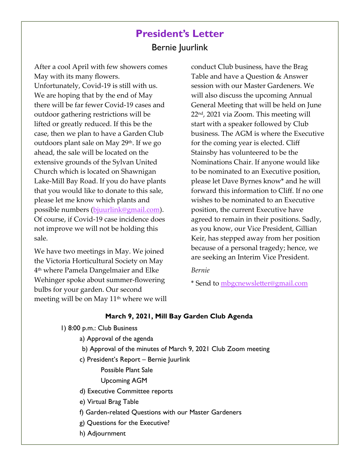# **President's Letter** Bernie Juurlink

After a cool April with few showers comes May with its many flowers. Unfortunately, Covid-19 is still with us. We are hoping that by the end of May there will be far fewer Covid-19 cases and outdoor gathering restrictions will be lifted or greatly reduced. If this be the case, then we plan to have a Garden Club outdoors plant sale on May 29th. If we go ahead, the sale will be located on the extensive grounds of the Sylvan United Church which is located on Shawnigan Lake-Mill Bay Road. If you do have plants that you would like to donate to this sale, please let me know which plants and possible numbers ([bjuurlink@gmail.com\).](mailto:bjuurlink@gmail.com) Of course, if Covid-19 case incidence does not improve we will not be holding this sale.

We have two meetings in May. We joined the Victoria Horticultural Society on May 4 th where Pamela Dangelmaier and Elke Wehinger spoke about summer-flowering bulbs for your garden. Our second meeting will be on May 11<sup>th</sup> where we will conduct Club business, have the Brag Table and have a Question & Answer session with our Master Gardeners. We will also discuss the upcoming Annual General Meeting that will be held on June 22nd, 2021 via Zoom. This meeting will start with a speaker followed by Club business. The AGM is where the Executive for the coming year is elected. Cliff Stainsby has volunteered to be the Nominations Chair. If anyone would like to be nominated to an Executive position, please let Dave Byrnes know\* and he will forward this information to Cliff. If no one wishes to be nominated to an Executive position, the current Executive have agreed to remain in their positions. Sadly, as you know, our Vice President, Gillian Keir, has stepped away from her position because of a personal tragedy; hence, we are seeking an Interim Vice President.

#### *Bernie*

\* Send to [mbgcnewsletter@gmail.com](mailto:mbgcnewsletter@gmail.com)

#### **March 9, 2021, Mill Bay Garden Club Agenda**

- 1) 8:00 p.m.: Club Business
	- a) Approval of the agenda
	- b) Approval of the minutes of March 9, 2021 Club Zoom meeting
	- c) President's Report Bernie Juurlink
		- Possible Plant Sale
		- Upcoming AGM
	- d) Executive Committee reports
	- e) Virtual Brag Table
	- f) Garden-related Questions with our Master Gardeners
	- g) Questions for the Executive?
	- h) Adjournment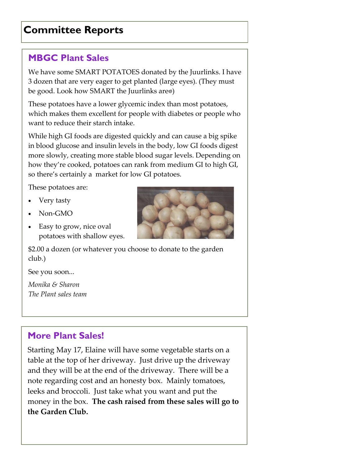# **Committee Reports**

# **MBGC Plant Sales**

We have some SMART POTATOES donated by the Juurlinks. I have 3 dozen that are very eager to get planted (large eyes). (They must be good. Look how SMART the Juurlinks are $\odot$ )

These potatoes have a lower glycemic index than most potatoes, which makes them excellent for people with diabetes or people who want to reduce their starch intake.

While high GI foods are digested quickly and can cause a big spike in blood glucose and insulin levels in the body, low GI foods digest more slowly, creating more stable blood sugar levels. Depending on how they're cooked, potatoes can rank from medium GI to high GI, so there's certainly a market for low GI potatoes.

These potatoes are:

- Very tasty
- Non-GMO
- Easy to grow, nice oval potatoes with shallow eyes.

\$2.00 a dozen (or whatever you choose to donate to the garden club.)

See you soon...

*Monika & Sharon The Plant sales team*

# **More Plant Sales!**

Starting May 17, Elaine will have some vegetable starts on a table at the top of her driveway. Just drive up the driveway and they will be at the end of the driveway. There will be a note regarding cost and an honesty box. Mainly tomatoes, leeks and broccoli. Just take what you want and put the money in the box. **The cash raised from these sales will go to the Garden Club.** 

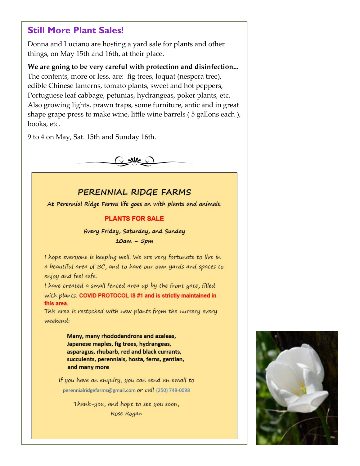### **Still More Plant Sales!**

Donna and Luciano are hosting a yard sale for plants and other things, on May 15th and 16th, at their place.

**We are going to be very careful with protection and disinfection...**  The contents, more or less, are: fig trees, loquat (nespera tree), edible Chinese lanterns, tomato plants, sweet and hot peppers, Portuguese leaf cabbage, petunias, hydrangeas, poker plants, etc. Also growing lights, prawn traps, some furniture, antic and in great shape grape press to make wine, little wine barrels ( 5 gallons each ), books, etc.

9 to 4 on May, Sat. 15th and Sunday 16th.



### PERENNIAL RIDGE FARMS

At Perennial Ridge Farms life goes on with plants and animals.

#### **PLANTS FOR SALE**

Every Friday, Saturday, and Sunday  $10am - 5pm$ 

I hope everyone is keeping well. We are very fortunate to live in a beautiful area of BC, and to have our own yards and spaces to enjoy and feel safe.

I have created a small fenced area up by the front gate, filled with plants. COVID PROTOCOL IS #1 and is strictly maintained in this area.

This area is restocked with new plants from the nursery every weekend:

> Many, many rhododendrons and azaleas, Japanese maples, fig trees, hydrangeas, asparagus, rhubarb, red and black currants, succulents, perennials, hosta, ferns, gentian, and many more

If you have an enquiry, you can send an email to perennialridgefarms@gmail.com or call (250) 748-0098

> Thank-you, and hope to see you soon, Rose Rogan

**Party Pics!**

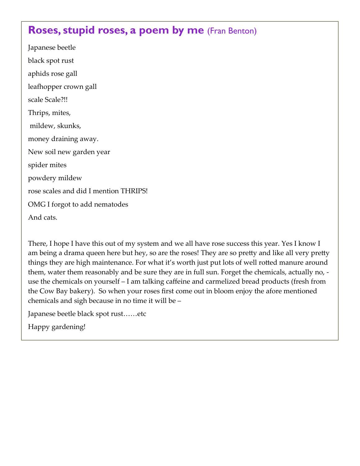# **Roses, stupid roses, a poem by me** (Fran Benton)

Japanese beetle black spot rust aphids rose gall leafhopper crown gall scale Scale?!! Thrips, mites, mildew, skunks, money draining away. New soil new garden year spider mites powdery mildew rose scales and did I mention THRIPS! OMG I forgot to add nematodes And cats.

There, I hope I have this out of my system and we all have rose success this year. Yes I know I am being a drama queen here but hey, so are the roses! They are so pretty and like all very pretty things they are high maintenance. For what it's worth just put lots of well rotted manure around them, water them reasonably and be sure they are in full sun. Forget the chemicals, actually no, use the chemicals on yourself – I am talking caffeine and carmelized bread products (fresh from the Cow Bay bakery). So when your roses first come out in bloom enjoy the afore mentioned chemicals and sigh because in no time it will be –

Japanese beetle black spot rust……etc

Happy gardening!